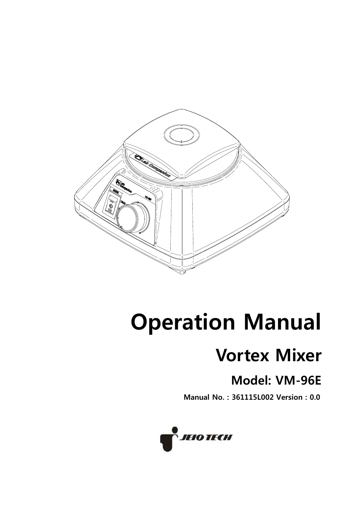

# **Operation Manual**

## **Vortex Mixer**

## **Model: VM-96E**

**Manual No.: 361115L002 Version: 0.0** 

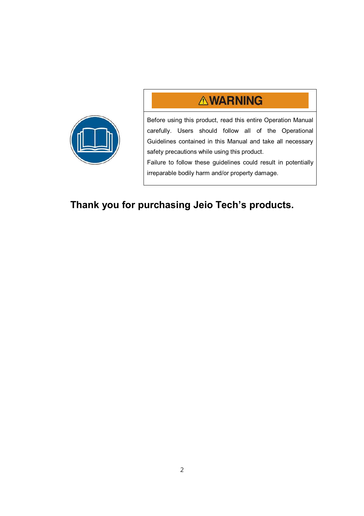## **AWARNING**



Before using this product, read this entire Operation Manual carefully. Users should follow all of the Operational Guidelines contained in this Manual and take all necessary safety precautions while using this product.

Failure to follow these guidelines could result in potentially irreparable bodily harm and/or property damage.

## **Thank you for purchasing Jeio Tech's products.**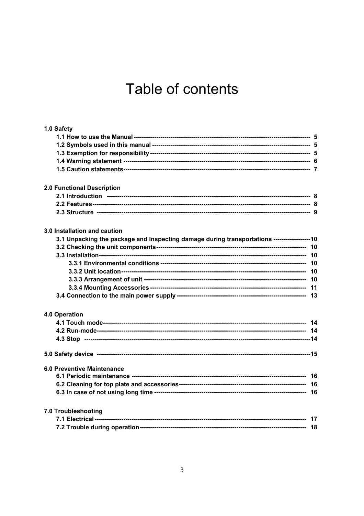## Table of contents

| 1.0 Safety                                                                                  |  |
|---------------------------------------------------------------------------------------------|--|
|                                                                                             |  |
|                                                                                             |  |
|                                                                                             |  |
|                                                                                             |  |
|                                                                                             |  |
| 2.0 Functional Description                                                                  |  |
|                                                                                             |  |
|                                                                                             |  |
|                                                                                             |  |
| 3.0 Installation and caution                                                                |  |
| 3.1 Unpacking the package and Inspecting damage during transportations ------------------10 |  |
|                                                                                             |  |
|                                                                                             |  |
|                                                                                             |  |
|                                                                                             |  |
|                                                                                             |  |
|                                                                                             |  |
|                                                                                             |  |
| 4.0 Operation                                                                               |  |
|                                                                                             |  |
|                                                                                             |  |
|                                                                                             |  |
|                                                                                             |  |
| <b>6.0 Preventive Maintenance</b>                                                           |  |
|                                                                                             |  |
|                                                                                             |  |
|                                                                                             |  |
| 7.0 Troubleshooting                                                                         |  |
|                                                                                             |  |
|                                                                                             |  |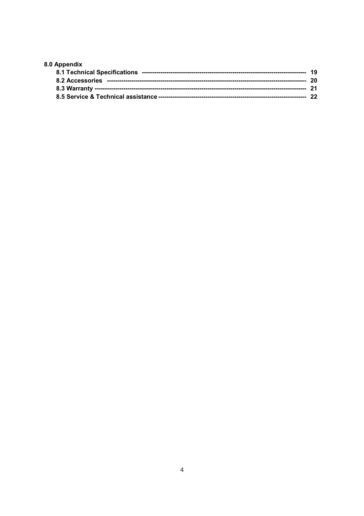| 8.0 Appendix |  |
|--------------|--|
|              |  |
|              |  |
|              |  |
|              |  |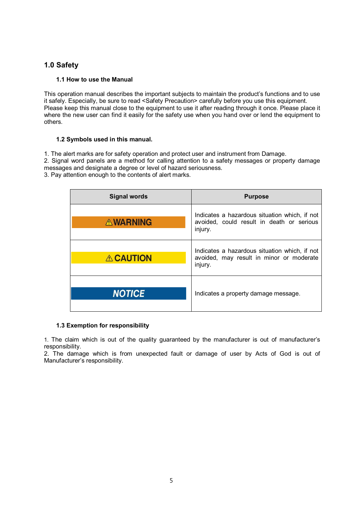#### **1.0 Safety**

#### **1.1 How to use the Manual**

This operation manual describes the important subjects to maintain the product's functions and to use it safely. Especially, be sure to read <Safety Precaution> carefully before you use this equipment. Please keep this manual close to the equipment to use it after reading through it once. Please place it where the new user can find it easily for the safety use when you hand over or lend the equipment to others.

#### **1.2 Symbols used in this manual.**

1. The alert marks are for safety operation and protect user and instrument from Damage.

2. Signal word panels are a method for calling attention to a safety messages or property damage messages and designate a degree or level of hazard seriousness.

3. Pay attention enough to the contents of alert marks.

| Signal words    | <b>Purpose</b>                                                                                        |
|-----------------|-------------------------------------------------------------------------------------------------------|
| <b>AWARNING</b> | Indicates a hazardous situation which, if not<br>avoided, could result in death or serious<br>injury. |
| <b>ACAUTION</b> | Indicates a hazardous situation which, if not<br>avoided, may result in minor or moderate<br>injury.  |
| <b>NOTICE</b>   | Indicates a property damage message.                                                                  |

#### **1.3 Exemption for responsibility**

1. The claim which is out of the quality guaranteed by the manufacturer is out of manufacturer's responsibility.

2. The damage which is from unexpected fault or damage of user by Acts of God is out of Manufacturer's responsibility.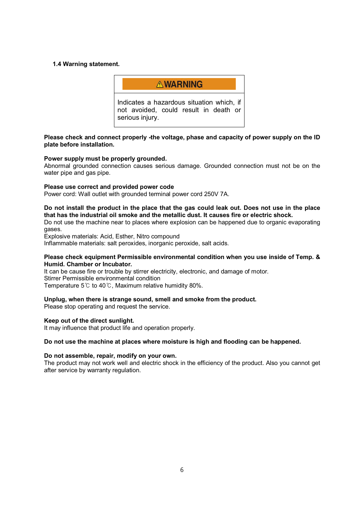#### **1.4 Warning statement.**



#### **Please check and connect properly -the voltage, phase and capacity of power supply on the ID plate before installation.**

#### **Power supply must be properly grounded.**

Abnormal grounded connection causes serious damage. Grounded connection must not be on the water pipe and gas pipe.

#### **Please use correct and provided power code**

Power cord: Wall outlet with grounded terminal power cord 250V 7A.

#### **Do not install the product in the place that the gas could leak out. Does not use in the place that has the industrial oil smoke and the metallic dust. It causes fire or electric shock.**

Do not use the machine near to places where explosion can be happened due to organic evaporating gases.

Explosive materials: Acid, Esther, Nitro compound

Inflammable materials: salt peroxides, inorganic peroxide, salt acids.

#### **Please check equipment Permissible environmental condition when you use inside of Temp. & Humid. Chamber or Incubator.**

It can be cause fire or trouble by stirrer electricity, electronic, and damage of motor. Stirrer Permissible environmental condition Temperature 5 $\degree$  to 40 $\degree$ . Maximum relative humidity 80%.

#### **Unplug, when there is strange sound, smell and smoke from the product.**

Please stop operating and request the service.

#### **Keep out of the direct sunlight.**

It may influence that product life and operation properly.

#### **Do not use the machine at places where moisture is high and flooding can be happened.**

#### **Do not assemble, repair, modify on your own.**

The product may not work well and electric shock in the efficiency of the product. Also you cannot get after service by warranty regulation.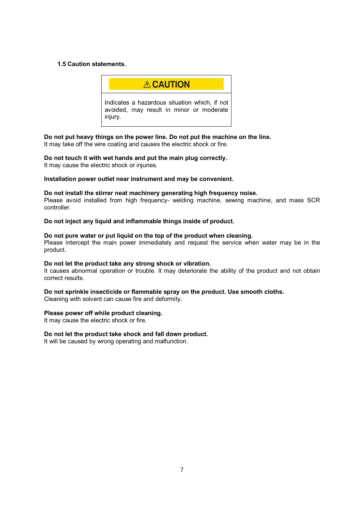#### **1.5 Caution statements.**



**Do not put heavy things on the power line. Do not put the machine on the line.**  It may take off the wire coating and causes the electric shock or fire.

**Do not touch it with wet hands and put the main plug correctly.**  It may cause the electric shock or injuries.

#### **Installation power outlet near instrument and may be convenient.**

#### **Do not install the stirrer neat machinery generating high frequency noise.**

Please avoid installed from high frequency- welding machine, sewing machine, and mass SCR controller.

**Do not inject any liquid and inflammable things inside of product.** 

#### **Do not pure water or put liquid on the top of the product when cleaning.**

Please intercept the main power immediately and request the service when water may be in the product.

#### **Do not let the product take any strong shock or vibration.**

It causes abnormal operation or trouble. It may deteriorate the ability of the product and not obtain correct results.

### **Do not sprinkle insecticide or flammable spray on the product. Use smooth cloths.**

Cleaning with solvent can cause fire and deformity.

#### **Please power off while product cleaning.**

It may cause the electric shock or fire.

#### **Do not let the product take shock and fall down product.**

It will be caused by wrong operating and malfunction.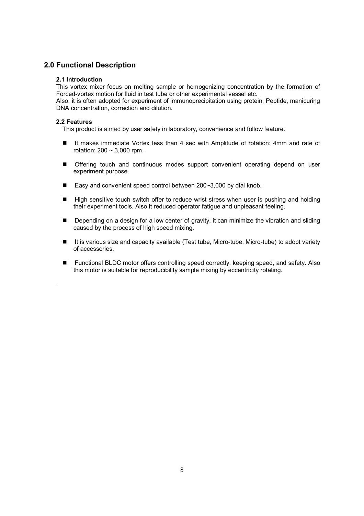#### **2.0 Functional Description**

#### **2.1 Introduction**

This vortex mixer focus on melting sample or homogenizing concentration by the formation of Forced-vortex motion for fluid in test tube or other experimental vessel etc.

Also, it is often adopted for experiment of immunoprecipitation using protein, Peptide, manicuring DNA concentration, correction and dilution.

#### **2.2 Features**

.

This product is aimed by user safety in laboratory, convenience and follow feature.

- It makes immediate Vortex less than 4 sec with Amplitude of rotation: 4mm and rate of rotation: 200 ~ 3,000 rpm.
- Offering touch and continuous modes support convenient operating depend on user experiment purpose.
- Easy and convenient speed control between  $200-3,000$  by dial knob.
- High sensitive touch switch offer to reduce wrist stress when user is pushing and holding their experiment tools. Also it reduced operator fatigue and unpleasant feeling.
- **n** Depending on a design for a low center of gravity, it can minimize the vibration and sliding caused by the process of high speed mixing.
- It is various size and capacity available (Test tube, Micro-tube, Micro-tube) to adopt variety of accessories.
- Functional BLDC motor offers controlling speed correctly, keeping speed, and safety. Also this motor is suitable for reproducibility sample mixing by eccentricity rotating.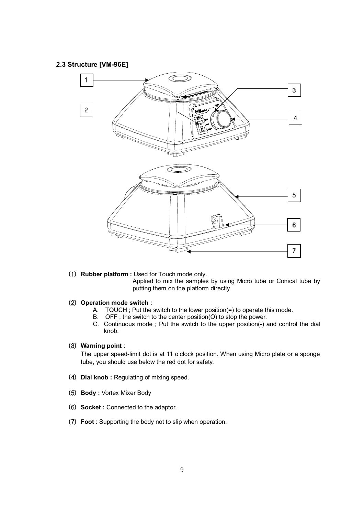#### **2.3 Structure [VM-96E]**



- (1) Rubber platform : Used for Touch mode only. Applied to mix the samples by using Micro tube or Conical tube by putting them on the platform directly.
- **(2) Operation mode switch :** 
	- A. TOUCH ; Put the switch to the lower position(=) to operate this mode.
	- B. OFF ; the switch to the center position(O) to stop the power.
	- C. Continuous mode ; Put the switch to the upper position(-) and control the dial knob.

#### **OZP Warning point** :

The upper speed-limit dot is at 11 o'clock position. When using Micro plate or a sponge tube, you should use below the red dot for safety.

- (4) Dial knob : Regulating of mixing speed.
- **O\P Body :** Vortex Mixer Body
- **(6) Socket : Connected to the adaptor.**
- (7) Foot : Supporting the body not to slip when operation.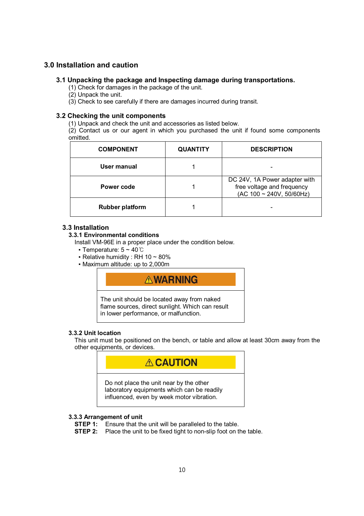#### **3.0 Installation and caution**

#### **3.1 Unpacking the package and Inspecting damage during transportations.**

(1) Check for damages in the package of the unit.

- (2) Unpack the unit.
- (3) Check to see carefully if there are damages incurred during transit.

#### **3.2 Checking the unit components**

(1) Unpack and check the unit and accessories as listed below.

(2) Contact us or our agent in which you purchased the unit if found some components omitted.

| <b>COMPONENT</b>       | <b>QUANTITY</b> | <b>DESCRIPTION</b>                                                                           |
|------------------------|-----------------|----------------------------------------------------------------------------------------------|
| User manual            |                 |                                                                                              |
| Power code             |                 | DC 24V, 1A Power adapter with<br>free voltage and frequency<br>$(AC 100 \sim 240V, 50/60Hz)$ |
| <b>Rubber platform</b> |                 |                                                                                              |

#### **3.3 Installation**

#### **3.3.1 Environmental conditions**

Install VM-96E in a proper place under the condition below.

- **Temperature:**  $5 \sim 40^{\circ}$ **C**
- **Relative humidity : RH 10 ~ 80%**
- Maximum altitude: up to 2,000m

### **AWARNING**

The unit should be located away from naked flame sources, direct sunlight. Which can result in lower performance, or malfunction.

#### **3.3.2 Unit location**

This unit must be positioned on the bench, or table and allow at least 30cm away from the other equipments, or devices.



#### **3.3.3 Arrangement of unit**

**STEP 1:** Ensure that the unit will be paralleled to the table.

**STEP 2:** Place the unit to be fixed tight to non-slip foot on the table.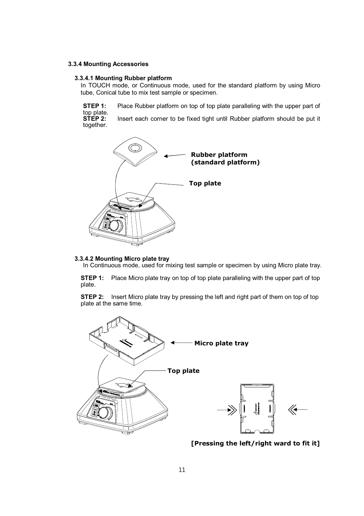#### **3.3.4 Mounting Accessories**

#### **3.3.4.1 Mounting Rubber platform**

In TOUCH mode, or Continuous mode, used for the standard platform by using Micro tube, Conical tube to mix test sample or specimen.

**STEP 1:** Place Rubber platform on top of top plate paralleling with the upper part of top plate.<br>STEP 2: Insert each corner to be fixed tight until Rubber platform should be put it

together.



#### **3.3.4.2 Mounting Micro plate tray**

In Continuous mode, used for mixing test sample or specimen by using Micro plate tray.

**STEP 1:** Place Micro plate tray on top of top plate paralleling with the upper part of top plate.

**STEP 2:** Insert Micro plate tray by pressing the left and right part of them on top of top plate at the same time.



**[Pressing the left/right ward to fit it]**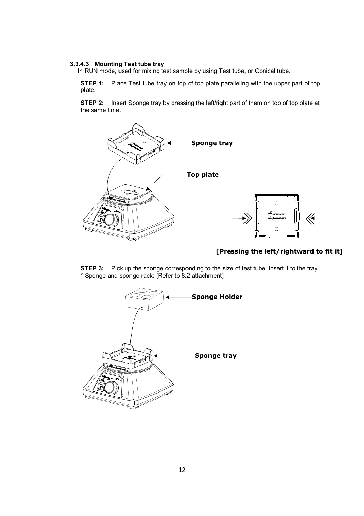#### **3.3.4.3 Mounting Test tube tray**

In RUN mode, used for mixing test sample by using Test tube, or Conical tube.

**STEP 1:** Place Test tube tray on top of top plate paralleling with the upper part of top plate.

**STEP 2:** Insert Sponge tray by pressing the left/right part of them on top of top plate at the same time.



#### **[Pressing the left/rightward to fit it]**

**STEP 3:** Pick up the sponge corresponding to the size of test tube, insert it to the tray. \* Sponge and sponge rack: [Refer to 8.2 attachment]

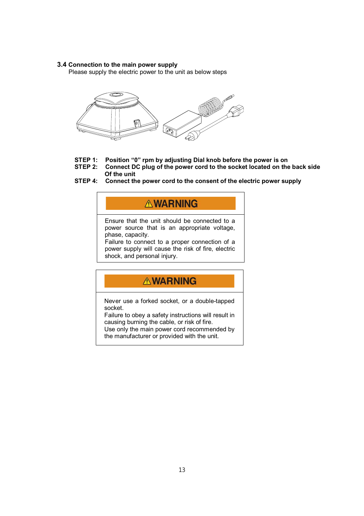#### **3.4 Connection to the main power supply**

Please supply the electric power to the unit as below steps



- **STEP 1: Position "0" rpm by adjusting Dial knob before the power is on**
- **STEP 2: Connect DC plug of the power cord to the socket located on the back side Of the unit**
- **STEP 4: Connect the power cord to the consent of the electric power supply**

## **AWARNING**

Ensure that the unit should be connected to a power source that is an appropriate voltage, phase, capacity.

Failure to connect to a proper connection of a power supply will cause the risk of fire, electric shock, and personal injury.

## **AWARNING**

Never use a forked socket, or a double-tapped socket.

Failure to obey a safety instructions will result in causing burning the cable, or risk of fire.

Use only the main power cord recommended by the manufacturer or provided with the unit.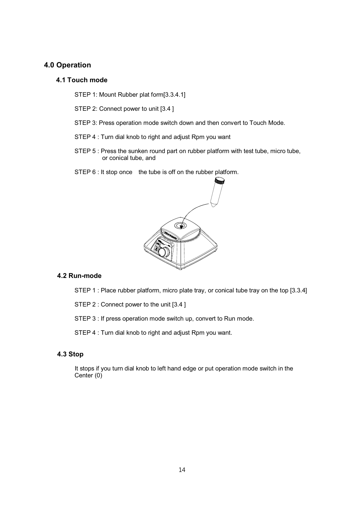#### **4.0 Operation**

#### **4.1 Touch mode**

STEP 1: Mount Rubber plat form[3.3.4.1]

STEP 2: Connect power to unit [3.4 ]

- STEP 3: Press operation mode switch down and then convert to Touch Mode.
- STEP 4 : Turn dial knob to right and adjust Rpm you want
- STEP 5 : Press the sunken round part on rubber platform with test tube, micro tube, or conical tube, and
- STEP 6 : It stop once the tube is off on the rubber platform.



#### **4.2 Run-mode**

STEP 1 : Place rubber platform, micro plate tray, or conical tube tray on the top [3.3.4]

STEP 2 : Connect power to the unit [3.4 ]

STEP 3 : If press operation mode switch up, convert to Run mode.

STEP 4 : Turn dial knob to right and adjust Rpm you want.

#### **4.3 Stop**

 It stops if you turn dial knob to left hand edge or put operation mode switch in the Center (0)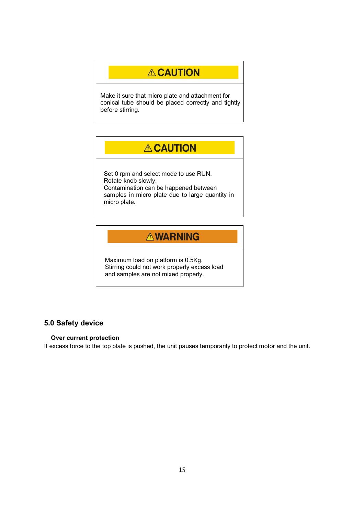## **ACAUTION**

Make it sure that micro plate and attachment for conical tube should be placed correctly and tightly before stirring.

## **A CAUTION**

Set 0 rpm and select mode to use RUN. Rotate knob slowly. Contamination can be happened between samples in micro plate due to large quantity in micro plate.

## **AWARNING**

Maximum load on platform is 0.5Kg. Stirring could not work properly excess load and samples are not mixed properly.

#### **5.0 Safety device**

#### **Over current protection**

If excess force to the top plate is pushed, the unit pauses temporarily to protect motor and the unit.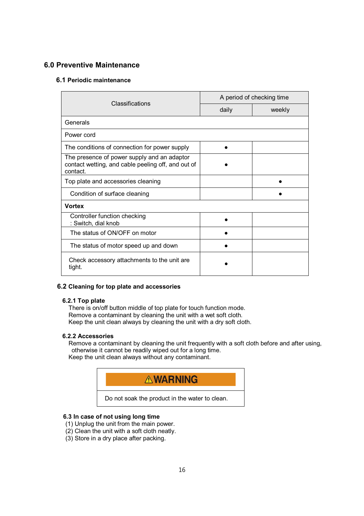#### **6.0 Preventive Maintenance**

#### **6.1 Periodic maintenance**

| Classifications                                                                                               | A period of checking time |        |
|---------------------------------------------------------------------------------------------------------------|---------------------------|--------|
|                                                                                                               | daily                     | weekly |
| Generals                                                                                                      |                           |        |
| Power cord                                                                                                    |                           |        |
| The conditions of connection for power supply                                                                 |                           |        |
| The presence of power supply and an adaptor<br>contact wetting, and cable peeling off, and out of<br>contact. |                           |        |
| Top plate and accessories cleaning                                                                            |                           |        |
| Condition of surface cleaning                                                                                 |                           |        |
| <b>Vortex</b>                                                                                                 |                           |        |
| Controller function checking<br>: Switch, dial knob                                                           |                           |        |
| The status of ON/OFF on motor                                                                                 |                           |        |
| The status of motor speed up and down                                                                         |                           |        |
| Check accessory attachments to the unit are<br>tight.                                                         |                           |        |

#### **6.2 Cleaning for top plate and accessories**

#### **6.2.1 Top plate**

There is on/off button middle of top plate for touch function mode. Remove a contaminant by cleaning the unit with a wet soft cloth. Keep the unit clean always by cleaning the unit with a dry soft cloth.

#### **6.2.2 Accessories**

Remove a contaminant by cleaning the unit frequently with a soft cloth before and after using, otherwise it cannot be readily wiped out for a long time. Keep the unit clean always without any contaminant.



#### **6.3 In case of not using long time**

- (1) Unplug the unit from the main power.
- (2) Clean the unit with a soft cloth neatly.
- (3) Store in a dry place after packing.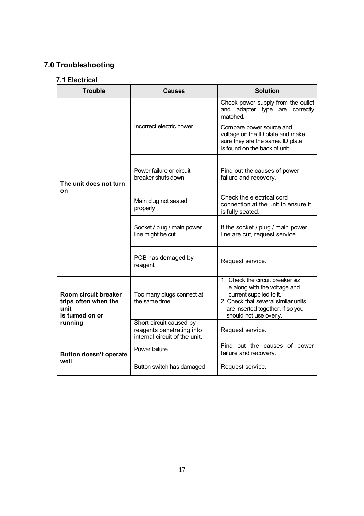## **7.0 Troubleshooting**

#### **7.1 Electrical**

| <b>Trouble</b>                                                          | <b>Causes</b>                                                                         | <b>Solution</b>                                                                                                                                                                                  |
|-------------------------------------------------------------------------|---------------------------------------------------------------------------------------|--------------------------------------------------------------------------------------------------------------------------------------------------------------------------------------------------|
| The unit does not turn<br>on                                            |                                                                                       | Check power supply from the outlet<br>and adapter type are correctly<br>matched.                                                                                                                 |
|                                                                         | Incorrect electric power                                                              | Compare power source and<br>voltage on the ID plate and make<br>sure they are the same. ID plate<br>is found on the back of unit.                                                                |
|                                                                         | Power failure or circuit<br>breaker shuts down                                        | Find out the causes of power<br>failure and recovery.                                                                                                                                            |
|                                                                         | Main plug not seated<br>properly                                                      | Check the electrical cord<br>connection at the unit to ensure it<br>is fully seated.                                                                                                             |
|                                                                         | Socket / plug / main power<br>line might be cut                                       | If the socket / plug / main power<br>line are cut, request service.                                                                                                                              |
|                                                                         | PCB has demaged by<br>reagent                                                         | Request service.                                                                                                                                                                                 |
| Room circuit breaker<br>trips often when the<br>unit<br>is turned on or | Too many plugs connect at<br>the same time                                            | 1. Check the circuit breaker siz<br>e along with the voltage and<br>current supplied to it.<br>2. Check that several similar units<br>are inserted together, if so you<br>should not use overly. |
| running                                                                 | Short circuit caused by<br>reagents penetrating into<br>internal circuit of the unit. | Request service.                                                                                                                                                                                 |
| <b>Button doesn't operate</b><br>well                                   | Power failure                                                                         | Find out the causes of power<br>failure and recovery.                                                                                                                                            |
|                                                                         | Button switch has damaged                                                             | Request service.                                                                                                                                                                                 |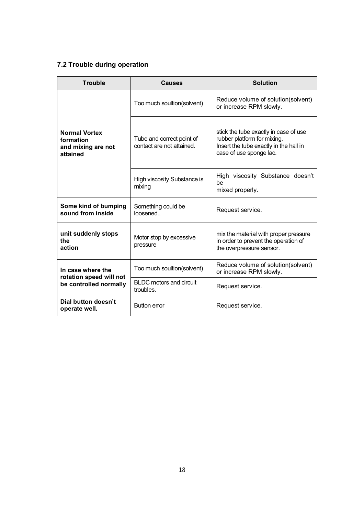### **7.2 Trouble during operation**

| <b>Trouble</b>                                                         | Causes                                                 | <b>Solution</b>                                                                                                                           |
|------------------------------------------------------------------------|--------------------------------------------------------|-------------------------------------------------------------------------------------------------------------------------------------------|
| <b>Normal Vortex</b><br>formation<br>and mixing are not<br>attained    | Too much soultion(solvent)                             | Reduce volume of solution(solvent)<br>or increase RPM slowly.                                                                             |
|                                                                        | Tube and correct point of<br>contact are not attained. | stick the tube exactly in case of use<br>rubber platform for mixing.<br>Insert the tube exactly in the hall in<br>case of use sponge lac. |
|                                                                        | High viscosity Substance is<br>mixing                  | High viscosity Substance doesn't<br>be<br>mixed properly.                                                                                 |
| Some kind of bumping<br>sound from inside                              | Something could be<br>loosened                         | Request service.                                                                                                                          |
| unit suddenly stops<br>the<br>action                                   | Motor stop by excessive<br>pressure                    | mix the material with proper pressure<br>in order to prevent the operation of<br>the overpressure sensor.                                 |
| In case where the<br>rotation speed will not<br>be controlled normally | Too much soultion(solvent)                             | Reduce volume of solution (solvent)<br>or increase RPM slowly.                                                                            |
|                                                                        | <b>BLDC</b> motors and circuit<br>troubles.            | Request service.                                                                                                                          |
| Dial button doesn't<br>operate well.                                   | <b>Button error</b>                                    | Request service.                                                                                                                          |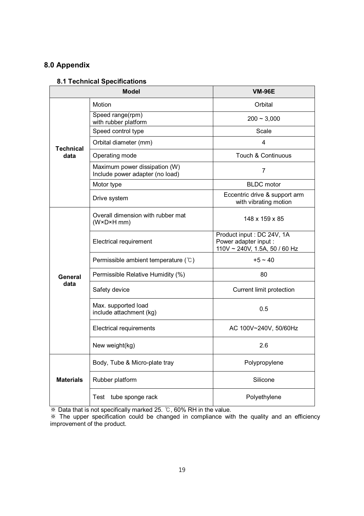### **8.0 Appendix**

#### **8.1 Technical Specifications**

| <b>Model</b>             |                                                                  | <b>VM-96E</b>                                                                        |
|--------------------------|------------------------------------------------------------------|--------------------------------------------------------------------------------------|
|                          | Motion                                                           | Orbital                                                                              |
| <b>Technical</b><br>data | Speed range(rpm)<br>with rubber platform                         | $200 - 3,000$                                                                        |
|                          | Speed control type                                               | Scale                                                                                |
|                          | Orbital diameter (mm)                                            | 4                                                                                    |
|                          | Operating mode                                                   | Touch & Continuous                                                                   |
|                          | Maximum power dissipation (W)<br>Include power adapter (no load) | $\overline{7}$                                                                       |
|                          | Motor type                                                       | <b>BLDC</b> motor                                                                    |
|                          | Drive system                                                     | Eccentric drive & support arm<br>with vibrating motion                               |
| General<br>data          | Overall dimension with rubber mat<br>$(W \times D \times H$ mm)  | $148 \times 159 \times 85$                                                           |
|                          | <b>Electrical requirement</b>                                    | Product input : DC 24V, 1A<br>Power adapter input :<br>110V ~ 240V, 1.5A, 50 / 60 Hz |
|                          | Permissible ambient temperature $(\mathcal{C})$                  | $+5 \sim 40$                                                                         |
|                          | Permissible Relative Humidity (%)                                | 80                                                                                   |
|                          | Safety device                                                    | <b>Current limit protection</b>                                                      |
|                          | Max. supported load<br>include attachment (kg)                   | 0.5                                                                                  |
|                          | Electrical requirements                                          | AC 100V~240V, 50/60Hz                                                                |
|                          | New weight(kg)                                                   | 2.6                                                                                  |
|                          | Body, Tube & Micro-plate tray                                    | Polypropylene                                                                        |
| <b>Materials</b>         | Rubber platform                                                  | Silicone                                                                             |
|                          | Test tube sponge rack                                            | Polyethylene                                                                         |

**EXALUATE:** We be that is not specifically marked 25. °C, 60% RH in the value.

 The upper specification could be changed in compliance with the quality and an efficiency improvement of the product.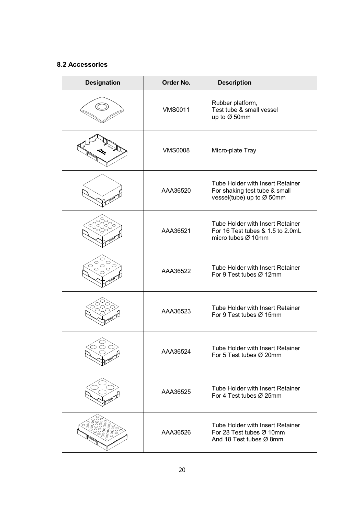#### **8.2 Accessories**

| <b>Designation</b>           | Order No.      | <b>Description</b>                                                                             |
|------------------------------|----------------|------------------------------------------------------------------------------------------------|
|                              | <b>VMS0011</b> | Rubber platform,<br>Test tube & small vessel<br>up to Ø 50mm                                   |
|                              | <b>VMS0008</b> | Micro-plate Tray                                                                               |
|                              | AAA36520       | Tube Holder with Insert Retainer<br>For shaking test tube & small<br>vessel(tube) up to Ø 50mm |
|                              | AAA36521       | Tube Holder with Insert Retainer<br>For 16 Test tubes & 1.5 to 2.0mL<br>micro tubes Ø 10mm     |
| O<br>$\circ$<br>$\circ$<br>◯ | AAA36522       | Tube Holder with Insert Retainer<br>For 9 Test tubes Ø 12mm                                    |
|                              | AAA36523       | Tube Holder with Insert Retainer<br>For 9 Test tubes Ø 15mm                                    |
|                              | AAA36524       | Tube Holder with Insert Retainer<br>For 5 Test tubes Ø 20mm                                    |
|                              | AAA36525       | Tube Holder with Insert Retainer<br>For 4 Test tubes Ø 25mm                                    |
|                              | AAA36526       | Tube Holder with Insert Retainer<br>For 28 Test tubes Ø 10mm<br>And 18 Test tubes Ø 8mm        |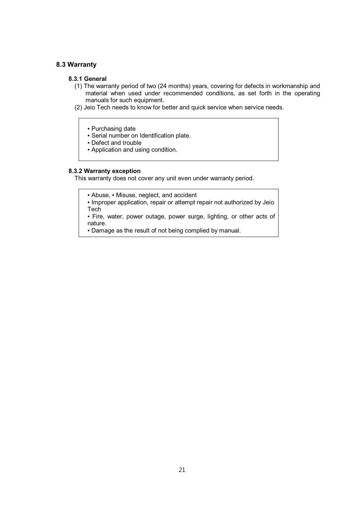#### **8.3 Warranty**

#### **8.3.1 General**

- (1) The warranty period of two (24 months) years, covering for defects in workmanship and material when used under recommended conditions, as set forth in the operating manuals for such equipment.
- (2) Jeio Tech needs to know for better and quick service when service needs.
	- Purchasing date
	- Serial number on Identification plate.
	- Defect and trouble
	- Application and using condition.

#### **8.3.2 Warranty exception**

This warranty does not cover any unit even under warranty period.

**• Abuse, • Misuse, neglect, and accident** 

• Improper application, repair or attempt repair not authorized by Jeio **Tech** 

▪ Fire, water, power outage, power surge, lighting, or other acts of nature.

▪ Damage as the result of not being complied by manual.